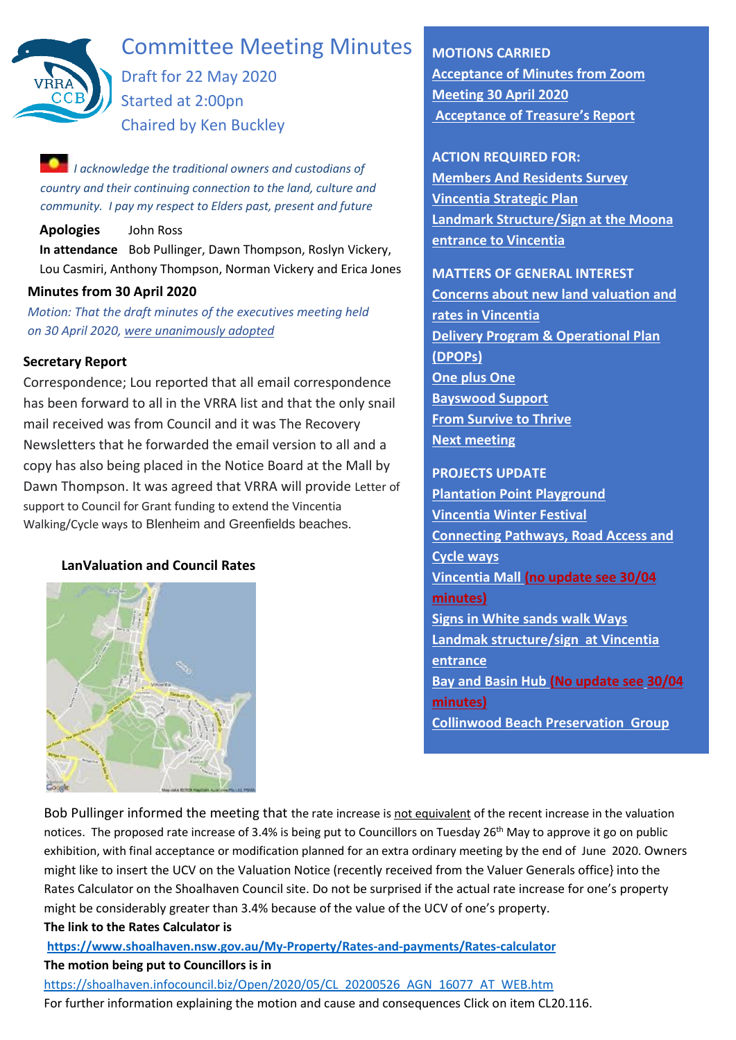

# Committee Meeting Minutes

Draft for 22 May 2020 Started at 2:00pn Chaired by Ken Buckley

*I acknowledge the traditional owners and custodians of country and their continuing connection to the land, culture and community. I pay my respect to Elders past, present and future*

**Apologies** John Ross

**In attendance** Bob Pullinger, Dawn Thompson, Roslyn Vickery, Lou Casmiri, Anthony Thompson, Norman Vickery and Erica Jones

# **Minutes from 30 April 2020**

*Motion: That the draft minutes of the executives meeting held on 30 April 2020, were unanimously adopted*

# **Secretary Report**

Correspondence; Lou reported that all email correspondence has been forward to all in the VRRA list and that the only snail mail received was from Council and it was The Recovery Newsletters that he forwarded the email version to all and a copy has also being placed in the Notice Board at the Mall by Dawn Thompson. It was agreed that VRRA will provide Letter of support to Council for Grant funding to extend the Vincentia Walking/Cycle ways to Blenheim and Greenfields beaches.

# <span id="page-0-0"></span>**LanValuation and Council Rates**



**MOTIONS CARRIED [Acceptance of Minutes from Zoom](#page-5-0)  [Meeting 30 April 2020](#page-5-0) [Acceptance of Treasure](#page-1-0)'s Report**

**ACTION REQUIRED FOR:**

**[Members And Residents Survey](#page-1-1) [Vincentia Strategic Plan](#page-2-0) [Landmark Structure/Sign at the Moona](#page-2-1)  [entrance to Vincentia](#page-2-1)**

**MATTERS OF GENERAL INTEREST**

**[Concerns about new land valuation and](#page-0-0)  [rates in Vincentia](#page-0-0) [Delivery Program & Operational Plan](#page-4-0)  [\(DPOPs\)](#page-4-0) [One plus](#page-3-0) One [Bayswood Support](#page-4-1) [From Survive to Thrive](#page-4-2) [Next meeting](#page-4-3)**

**PROJECTS UPDATE [Plantation Point Playground](#page-2-2) [Vincentia Winter Festival](#page-3-1) [Connecting Pathways, Road Access and](#page-3-2)  [Cycle](#page-3-2) ways [Vincentia Mall \(no update see 30/04](#page-6-0) [minutes\)](#page-6-0) [Signs in White sands walk Ways](#page-3-3) [Landmak structure/sign at Vincentia](#page-2-1)  [entrance](#page-2-1) [Bay and Basin Hub \(No update see](#page-7-0) 30/04 [minutes\)](#page-7-0) [Collinwood Beach Preservation Group](#page-4-4)**

Bob Pullinger informed the meeting that the rate increase is not equivalent of the recent increase in the valuation notices. The proposed rate increase of 3.4% is being put to Councillors on Tuesday 26<sup>th</sup> May to approve it go on public exhibition, with final acceptance or modification planned for an extra ordinary meeting by the end of June 2020. Owners might like to insert the UCV on the Valuation Notice (recently received from the Valuer Generals office} into the Rates Calculator on the Shoalhaven Council site. Do not be surprised if the actual rate increase for one's property might be considerably greater than 3.4% because of the value of the UCV of one's property.

# **The link to the Rates Calculator is**

**<https://www.shoalhaven.nsw.gov.au/My-Property/Rates-and-payments/Rates-calculator> The motion being put to Councillors is in**

[https://shoalhaven.infocouncil.biz/Open/2020/05/CL\\_20200526\\_AGN\\_16077\\_AT\\_WEB.htm](https://shoalhaven.infocouncil.biz/Open/2020/05/CL_20200526_AGN_16077_AT_WEB.htm) For further information explaining the motion and cause and consequences Click on item CL20.116.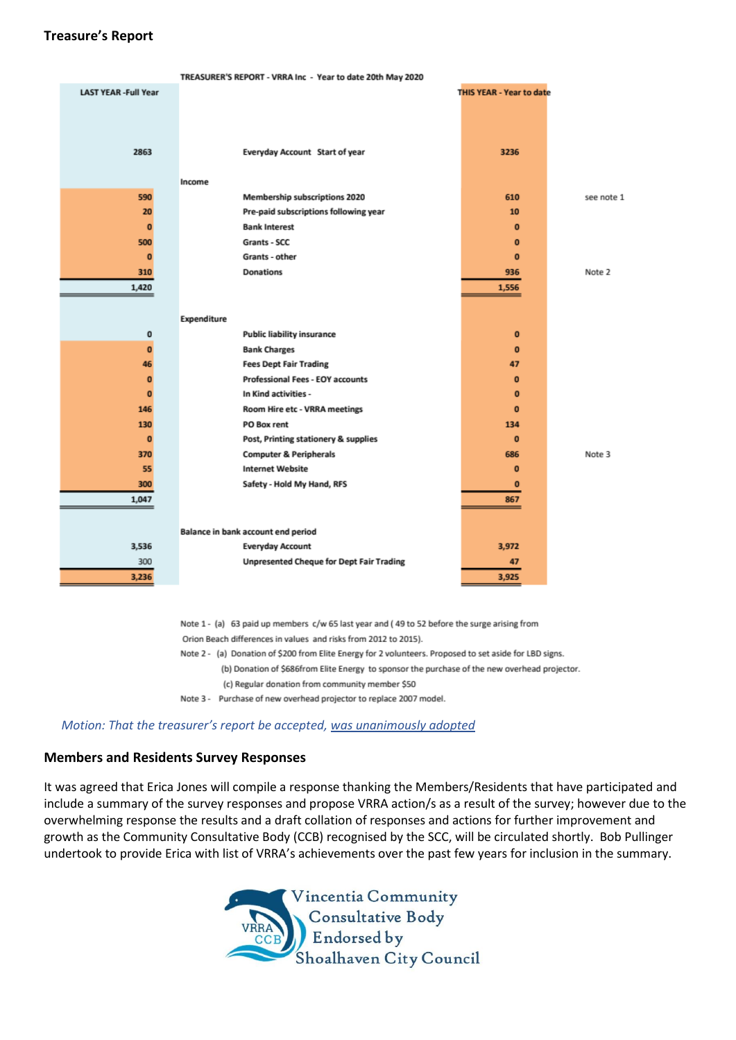# <span id="page-1-0"></span>**Treasure's Report**

| TREASURER'S REPORT - VRRA Inc - Year to date 20th May 2020 |                                                 |                                 |            |  |
|------------------------------------------------------------|-------------------------------------------------|---------------------------------|------------|--|
| <b>LAST YEAR -Full Year</b>                                |                                                 | <b>THIS YEAR - Year to date</b> |            |  |
|                                                            |                                                 |                                 |            |  |
|                                                            |                                                 |                                 |            |  |
|                                                            |                                                 |                                 |            |  |
| 2863                                                       | Everyday Account Start of year                  | 3236                            |            |  |
|                                                            |                                                 |                                 |            |  |
|                                                            | Income                                          |                                 |            |  |
| 590                                                        | Membership subscriptions 2020                   | 610                             | see note 1 |  |
| 20                                                         | Pre-paid subscriptions following year           | 10                              |            |  |
| $\mathbf 0$                                                | <b>Bank Interest</b>                            | $\mathbf{0}$                    |            |  |
| 500                                                        | Grants - SCC                                    | $\bf{0}$                        |            |  |
| $\bf{0}$                                                   | Grants - other                                  | $\mathbf{0}$                    |            |  |
| 310                                                        | <b>Donations</b>                                | 936                             | Note 2     |  |
| 1,420                                                      |                                                 | 1,556                           |            |  |
|                                                            |                                                 |                                 |            |  |
|                                                            | Expenditure                                     |                                 |            |  |
| $\mathbf 0$                                                | <b>Public liability insurance</b>               | $\mathbf{0}$                    |            |  |
| $\mathbf{0}$                                               | <b>Bank Charges</b>                             | $\mathbf{0}$                    |            |  |
| 46                                                         | <b>Fees Dept Fair Trading</b>                   | 47                              |            |  |
| $\mathbf{0}$                                               | <b>Professional Fees - EOY accounts</b>         | $\mathbf{0}$                    |            |  |
| $\mathbf 0$                                                | In Kind activities -                            | $\bf{0}$                        |            |  |
| 146                                                        | Room Hire etc - VRRA meetings                   | $\mathbf{0}$                    |            |  |
| 130                                                        | PO Box rent                                     | 134                             |            |  |
| $\mathbf{0}$                                               | Post, Printing stationery & supplies            | $\mathbf{0}$                    |            |  |
| 370                                                        | <b>Computer &amp; Peripherals</b>               | 686                             | Note 3     |  |
| 55                                                         | <b>Internet Website</b>                         | $\Omega$                        |            |  |
| 300                                                        | Safety - Hold My Hand, RFS                      | $\mathbf{0}$                    |            |  |
| 1,047                                                      |                                                 | 867                             |            |  |
|                                                            |                                                 |                                 |            |  |
|                                                            | Balance in bank account end period              |                                 |            |  |
| 3,536                                                      | <b>Everyday Account</b>                         | 3,972                           |            |  |
| 300                                                        | <b>Unpresented Cheque for Dept Fair Trading</b> | 47                              |            |  |
|                                                            |                                                 |                                 |            |  |
| 3,236                                                      |                                                 | 3,925                           |            |  |

Note 1 - (a) 63 paid up members c/w 65 last year and (49 to 52 before the surge arising from Orion Beach differences in values and risks from 2012 to 2015).

Note 2 - (a) Donation of \$200 from Elite Energy for 2 volunteers. Proposed to set aside for LBD signs.

(b) Donation of \$686from Elite Energy to sponsor the purchase of the new overhead projector. (c) Regular donation from community member \$50

Note 3 - Purchase of new overhead projector to replace 2007 model.

#### <span id="page-1-1"></span>*Motion: That the treasurer's report be accepted, was unanimously adopted*

#### **Members and Residents Survey Responses**

It was agreed that Erica Jones will compile a response thanking the Members/Residents that have participated and include a summary of the survey responses and propose VRRA action/s as a result of the survey; however due to the overwhelming response the results and a draft collation of responses and actions for further improvement and growth as the Community Consultative Body (CCB) recognised by the SCC, will be circulated shortly. Bob Pullinger undertook to provide Erica with list of VRRA's achievements over the past few years for inclusion in the summary.

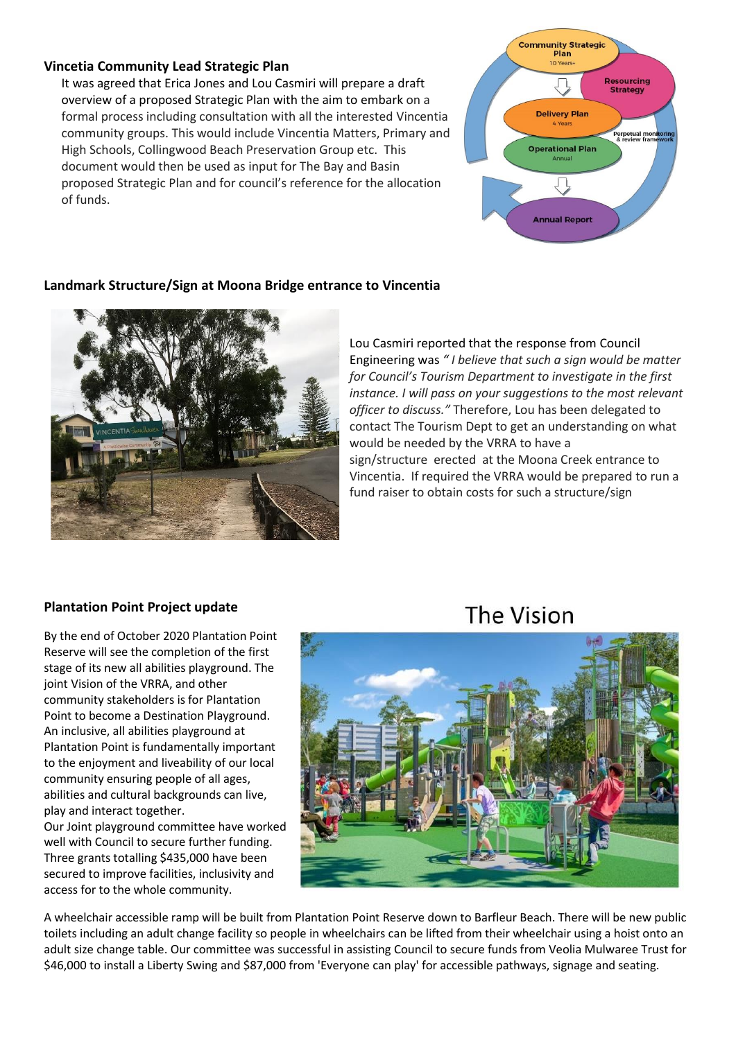### <span id="page-2-0"></span>**Vincetia Community Lead Strategic Plan**

It was agreed that Erica Jones and Lou Casmiri will prepare a draft overview of a proposed Strategic Plan with the aim to embark on a formal process including consultation with all the interested Vincentia community groups. This would include Vincentia Matters, Primary and High Schools, Collingwood Beach Preservation Group etc. This document would then be used as input for The Bay and Basin proposed Strategic Plan and for council's reference for the allocation of funds.



# <span id="page-2-1"></span>**Landmark Structure/Sign at Moona Bridge entrance to Vincentia**



Lou Casmiri reported that the response from Council Engineering was *" I believe that such a sign would be matter for Council's Tourism Department to investigate in the first instance. I will pass on your suggestions to the most relevant officer to discuss."* Therefore, Lou has been delegated to contact The Tourism Dept to get an understanding on what would be needed by the VRRA to have a sign/structure erected at the Moona Creek entrance to Vincentia. If required the VRRA would be prepared to run a fund raiser to obtain costs for such a structure/sign

# **Plantation Point Project update**

<span id="page-2-2"></span>By the end of October 2020 Plantation Point Reserve will see the completion of the first stage of its new all abilities playground. The joint Vision of the VRRA, and other community stakeholders is for Plantation Point to become a Destination Playground. An inclusive, all abilities playground at Plantation Point is fundamentally important to the enjoyment and liveability of our local community ensuring people of all ages, abilities and cultural backgrounds can live, play and interact together. Our Joint playground committee have worked

well with Council to secure further funding. Three grants totalling \$435,000 have been secured to improve facilities, inclusivity and access for to the whole community.

# The Vision



A wheelchair accessible ramp will be built from Plantation Point Reserve down to Barfleur Beach. There will be new public toilets including an adult change facility so people in wheelchairs can be lifted from their wheelchair using a hoist onto an adult size change table. Our committee was successful in assisting Council to secure funds from Veolia Mulwaree Trust for \$46,000 to install a Liberty Swing and \$87,000 from 'Everyone can play' for accessible pathways, signage and seating.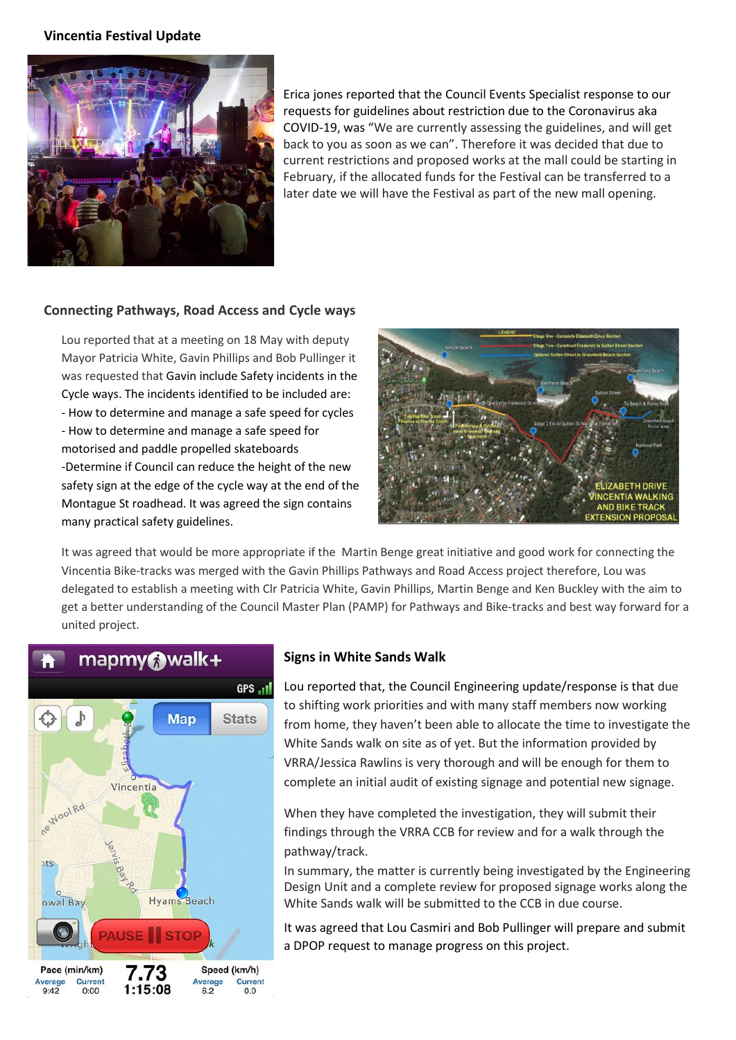#### <span id="page-3-1"></span>**Vincentia Festival Update**



Erica jones reported that the Council Events Specialist response to our requests for guidelines about restriction due to the Coronavirus aka COVID-19, was "We are currently assessing the guidelines, and will get back to you as soon as we can". Therefore it was decided that due to current restrictions and proposed works at the mall could be starting in February, if the allocated funds for the Festival can be transferred to a later date we will have the Festival as part of the new mall opening.

#### **Connecting Pathways, Road Access and Cycle ways**

Lou reported that at a meeting on 18 May with deputy Mayor Patricia White, Gavin Phillips and Bob Pullinger it was requested that Gavin include Safety incidents in the Cycle ways. The incidents identified to be included are: - How to determine and manage a safe speed for cycles - How to determine and manage a safe speed for motorised and paddle propelled skateboards -Determine if Council can reduce the height of the new safety sign at the edge of the cycle way at the end of the Montague St roadhead. It was agreed the sign contains many practical safety guidelines.

<span id="page-3-2"></span>

It was agreed that would be more appropriate if the Martin Benge great initiative and good work for connecting the Vincentia Bike-tracks was merged with the Gavin Phillips Pathways and Road Access project therefore, Lou was delegated to establish a meeting with Clr Patricia White, Gavin Phillips, Martin Benge and Ken Buckley with the aim to get a better understanding of the Council Master Plan (PAMP) for Pathways and Bike-tracks and best way forward for a united project.



#### <span id="page-3-3"></span>**Signs in White Sands Walk**

Lou reported that, the Council Engineering update/response is that due to shifting work priorities and with many staff members now working from home, they haven't been able to allocate the time to investigate the White Sands walk on site as of yet. But the information provided by VRRA/Jessica Rawlins is very thorough and will be enough for them to complete an initial audit of existing signage and potential new signage.

When they have completed the investigation, they will submit their findings through the VRRA CCB for review and for a walk through the pathway/track.

In summary, the matter is currently being investigated by the Engineering Design Unit and a complete review for proposed signage works along the White Sands walk will be submitted to the CCB in due course.

<span id="page-3-0"></span>It was agreed that Lou Casmiri and Bob Pullinger will prepare and submit a DPOP request to manage progress on this project.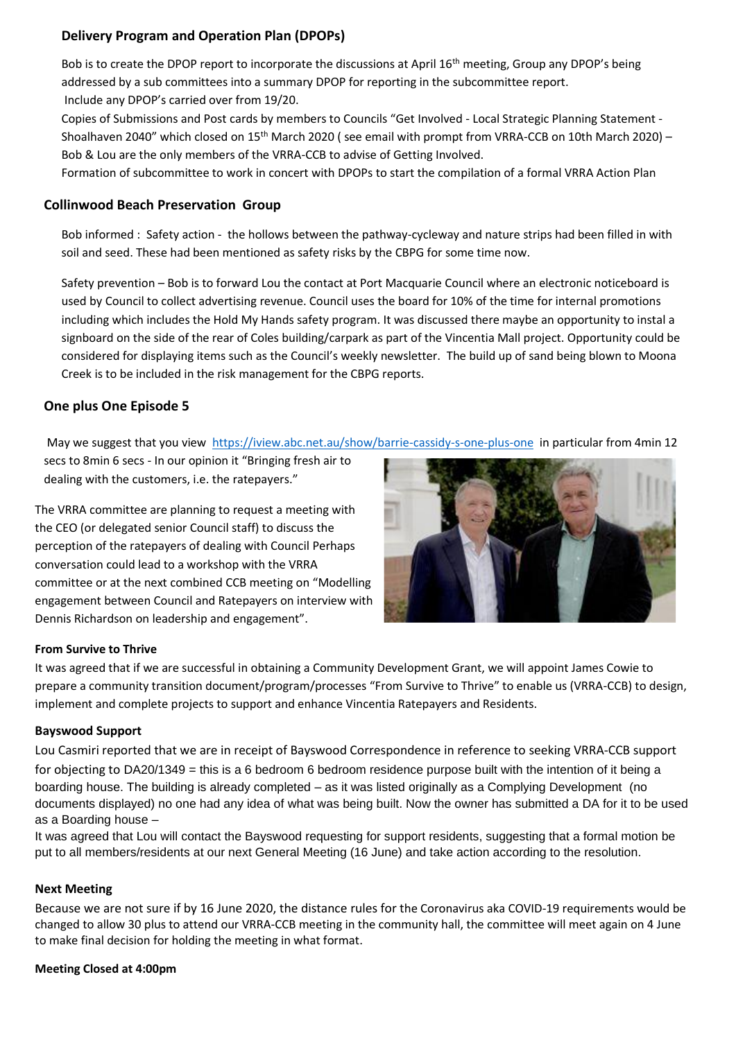# <span id="page-4-0"></span>**Delivery Program and Operation Plan (DPOPs)**

Bob is to create the DPOP report to incorporate the discussions at April 16<sup>th</sup> meeting, Group any DPOP's being addressed by a sub committees into a summary DPOP for reporting in the subcommittee report. Include any DPOP's carried over from 19/20.

Copies of Submissions and Post cards by members to Councils "Get Involved - Local Strategic Planning Statement - Shoalhaven 2040" which closed on 15th March 2020 ( see email with prompt from VRRA-CCB on 10th March 2020) – Bob & Lou are the only members of the VRRA-CCB to advise of Getting Involved.

Formation of subcommittee to work in concert with DPOPs to start the compilation of a formal VRRA Action Plan

## **Collinwood Beach Preservation Group**

Bob informed : Safety action - the hollows between the pathway-cycleway and nature strips had been filled in with soil and seed. These had been mentioned as safety risks by the CBPG for some time now.

Safety prevention – Bob is to forward Lou the contact at Port Macquarie Council where an electronic noticeboard is used by Council to collect advertising revenue. Council uses the board for 10% of the time for internal promotions including which includes the Hold My Hands safety program. It was discussed there maybe an opportunity to instal a signboard on the side of the rear of Coles building/carpark as part of the Vincentia Mall project. Opportunity could be considered for displaying items such as the Council's weekly newsletter. The build up of sand being blown to Moona Creek is to be included in the risk management for the CBPG reports.

### **One plus One Episode 5**

May we suggest that you view<https://iview.abc.net.au/show/barrie-cassidy-s-one-plus-one>in particular from 4min 12

secs to 8min 6 secs - In our opinion it "Bringing fresh air to dealing with the customers, i.e. the ratepayers."

The VRRA committee are planning to request a meeting with the CEO (or delegated senior Council staff) to discuss the perception of the ratepayers of dealing with Council Perhaps conversation could lead to a workshop with the VRRA committee or at the next combined CCB meeting on "Modelling engagement between Council and Ratepayers on interview with Dennis Richardson on leadership and engagement".

<span id="page-4-4"></span>

#### <span id="page-4-2"></span>**From Survive to Thrive**

It was agreed that if we are successful in obtaining a Community Development Grant, we will appoint James Cowie to prepare a community transition document/program/processes "From Survive to Thrive" to enable us (VRRA-CCB) to design, implement and complete projects to support and enhance Vincentia Ratepayers and Residents.

#### <span id="page-4-1"></span>**Bayswood Support**

Lou Casmiri reported that we are in receipt of Bayswood Correspondence in reference to seeking VRRA-CCB support for objecting to DA20/1349 = this is a 6 bedroom 6 bedroom residence purpose built with the intention of it being a boarding house. The building is already completed – as it was listed originally as a Complying Development (no documents displayed) no one had any idea of what was being built. Now the owner has submitted a DA for it to be used as a Boarding house –

It was agreed that Lou will contact the Bayswood requesting for support residents, suggesting that a formal motion be put to all members/residents at our next General Meeting (16 June) and take action according to the resolution.

#### <span id="page-4-3"></span>**Next Meeting**

Because we are not sure if by 16 June 2020, the distance rules for the Coronavirus aka COVID-19 requirements would be changed to allow 30 plus to attend our VRRA-CCB meeting in the community hall, the committee will meet again on 4 June to make final decision for holding the meeting in what format.

#### **Meeting Closed at 4:00pm**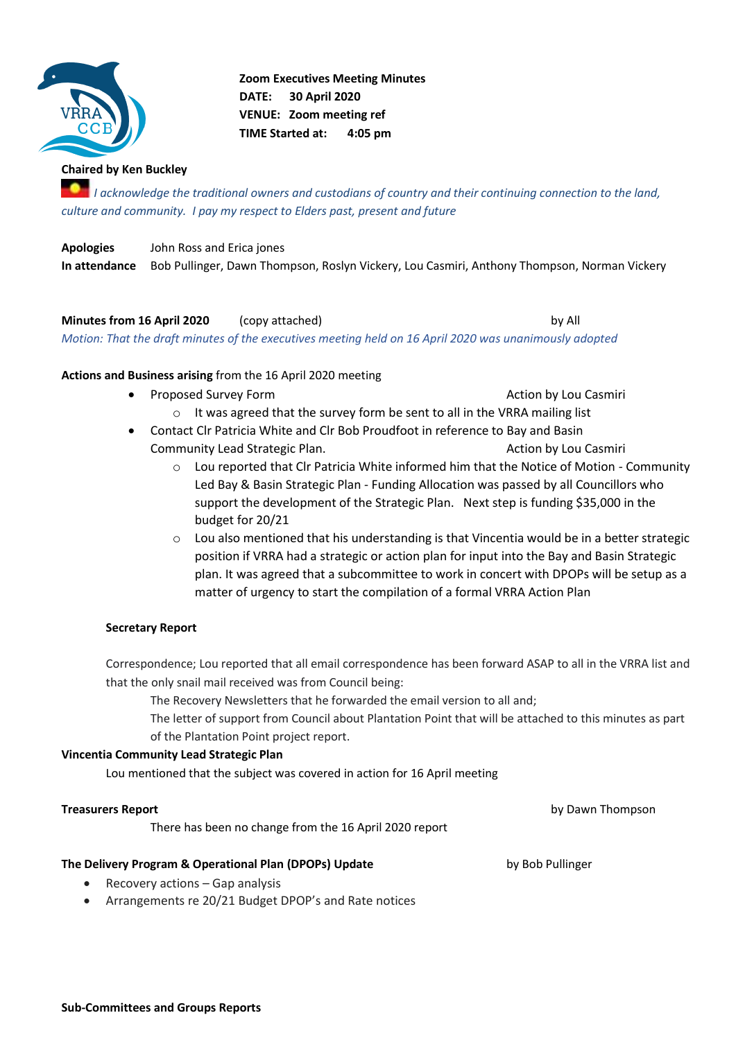<span id="page-5-0"></span>![](_page_5_Picture_0.jpeg)

**Zoom Executives Meeting Minutes DATE: 30 April 2020 VENUE: Zoom meeting ref TIME Started at: 4:05 pm** 

# **Chaired by Ken Buckley**

*If I* acknowledge the traditional owners and custodians of country and their continuing connection to the land, *culture and community. I pay my respect to Elders past, present and future*

**Apologies** John Ross and Erica jones **In attendance** Bob Pullinger, Dawn Thompson, Roslyn Vickery, Lou Casmiri, Anthony Thompson, Norman Vickery

**Minutes from 16 April 2020** (copy attached) contained the state of the by All *Motion: That the draft minutes of the executives meeting held on 16 April 2020 was unanimously adopted* 

**Actions and Business arising** from the 16 April 2020 meeting

- **Proposed Survey Form Action by Lou Casmiri Action by Lou Casmiri Action by Lou Casmiri** 
	- o It was agreed that the survey form be sent to all in the VRRA mailing list
- Contact Clr Patricia White and Clr Bob Proudfoot in reference to Bay and Basin Community Lead Strategic Plan. Action by Lou Casmiri
	- o Lou reported that Clr Patricia White informed him that the Notice of Motion Community Led Bay & Basin Strategic Plan - Funding Allocation was passed by all Councillors who support the development of the Strategic Plan. Next step is funding \$35,000 in the budget for 20/21
	- $\circ$  Lou also mentioned that his understanding is that Vincentia would be in a better strategic position if VRRA had a strategic or action plan for input into the Bay and Basin Strategic plan. It was agreed that a subcommittee to work in concert with DPOPs will be setup as a matter of urgency to start the compilation of a formal VRRA Action Plan

#### **Secretary Report**

Correspondence; Lou reported that all email correspondence has been forward ASAP to all in the VRRA list and that the only snail mail received was from Council being:

The Recovery Newsletters that he forwarded the email version to all and;

The letter of support from Council about Plantation Point that will be attached to this minutes as part of the Plantation Point project report.

#### **Vincentia Community Lead Strategic Plan**

Lou mentioned that the subject was covered in action for 16 April meeting

#### **Treasurers Report** by Dawn Thompson

There has been no change from the 16 April 2020 report

#### **The Delivery Program & Operational Plan (DPOPs) Update** by Bob Pullinger

- Recovery actions Gap analysis
- Arrangements re 20/21 Budget DPOP's and Rate notices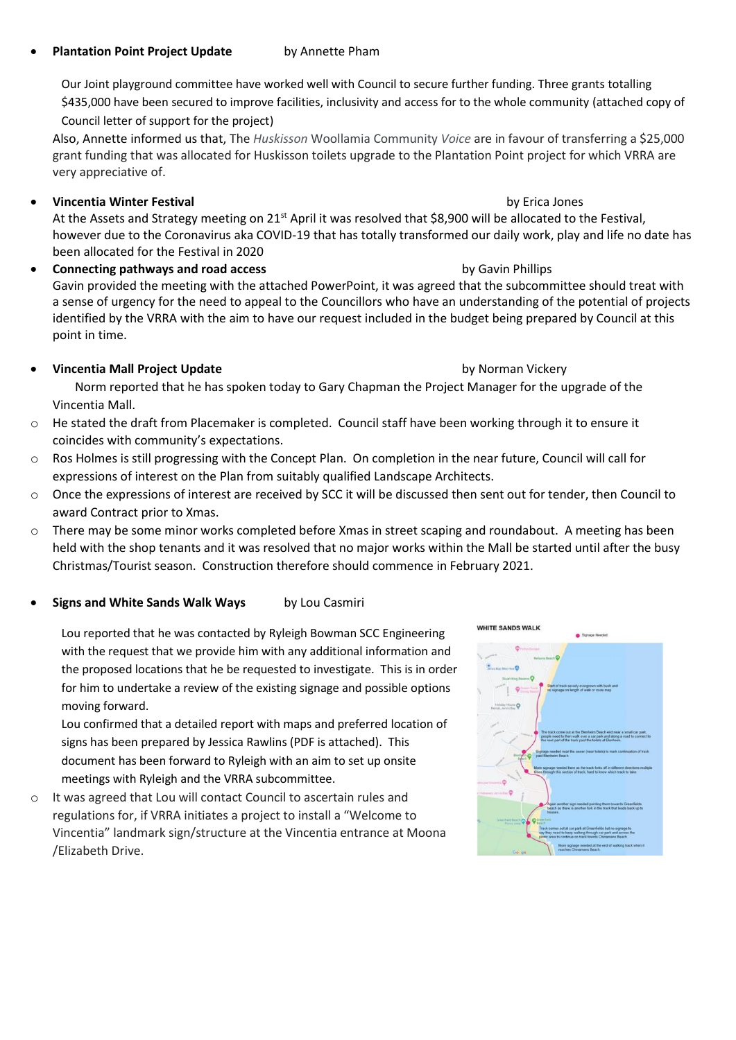## **Plantation Point Project Update** by Annette Pham

Our Joint playground committee have worked well with Council to secure further funding. Three grants totalling \$435,000 have been secured to improve facilities, inclusivity and access for to the whole community (attached copy of Council letter of support for the project)

Also, Annette informed us that, The *Huskisson* Woollamia Community *Voice* are in favour of transferring a \$25,000 grant funding that was allocated for Huskisson toilets upgrade to the Plantation Point project for which VRRA are very appreciative of.

• **Vincentia Winter Festival** by Erica Jones

At the Assets and Strategy meeting on 21<sup>st</sup> April it was resolved that \$8,900 will be allocated to the Festival, however due to the Coronavirus aka COVID-19 that has totally transformed our daily work, play and life no date has been allocated for the Festival in 2020

**Connecting pathways and road access** by Gavin Phillips **by Gavin Phillips** Gavin provided the meeting with the attached PowerPoint, it was agreed that the subcommittee should treat with a sense of urgency for the need to appeal to the Councillors who have an understanding of the potential of projects identified by the VRRA with the aim to have our request included in the budget being prepared by Council at this point in time.

# <span id="page-6-0"></span>• **Vincentia Mall Project Update** by Norman Vickery

Norm reported that he has spoken today to Gary Chapman the Project Manager for the upgrade of the Vincentia Mall.

- o He stated the draft from Placemaker is completed. Council staff have been working through it to ensure it coincides with community's expectations.
- o Ros Holmes is still progressing with the Concept Plan. On completion in the near future, Council will call for expressions of interest on the Plan from suitably qualified Landscape Architects.
- o Once the expressions of interest are received by SCC it will be discussed then sent out for tender, then Council to award Contract prior to Xmas.
- o There may be some minor works completed before Xmas in street scaping and roundabout. A meeting has been held with the shop tenants and it was resolved that no major works within the Mall be started until after the busy Christmas/Tourist season. Construction therefore should commence in February 2021.

# **Signs and White Sands Walk Ways by Lou Casmiri**

Lou reported that he was contacted by Ryleigh Bowman SCC Engineering with the request that we provide him with any additional information and the proposed locations that he be requested to investigate. This is in order for him to undertake a review of the existing signage and possible options moving forward.

Lou confirmed that a detailed report with maps and preferred location of signs has been prepared by Jessica Rawlins (PDF is attached). This document has been forward to Ryleigh with an aim to set up onsite meetings with Ryleigh and the VRRA subcommittee.

o It was agreed that Lou will contact Council to ascertain rules and regulations for, if VRRA initiates a project to install a "Welcome to Vincentia" landmark sign/structure at the Vincentia entrance at Moona /Elizabeth Drive.

![](_page_6_Figure_16.jpeg)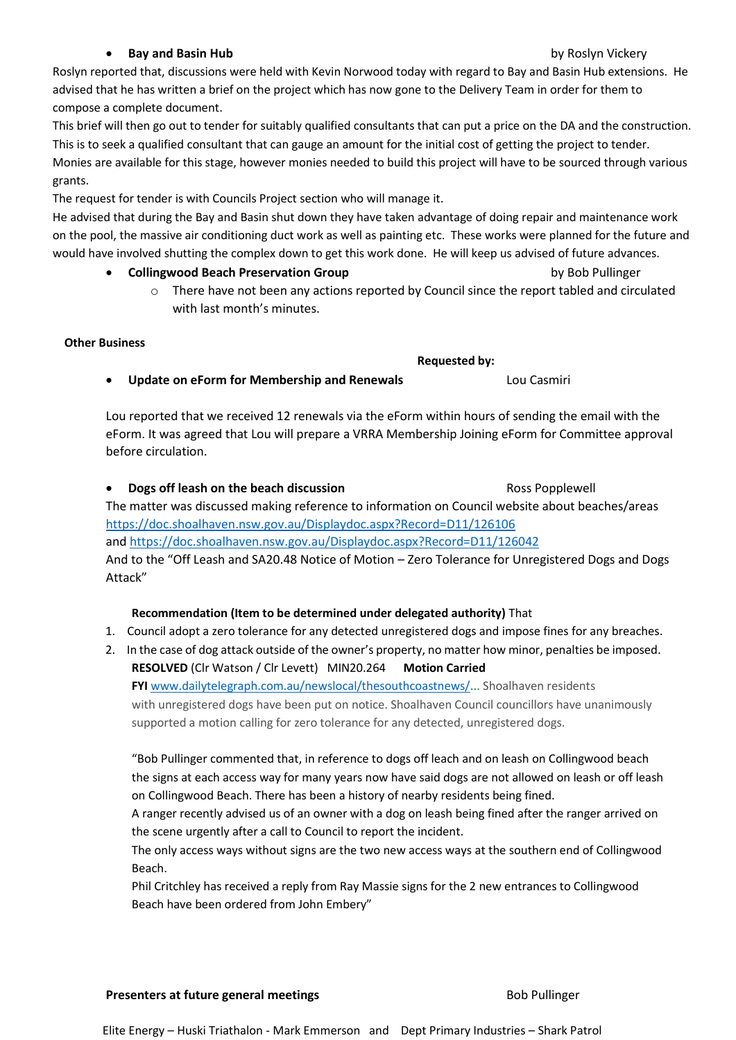#### **Presenters at future general meetings** Bob Pullinger Bob Pullinger

Elite Energy – Huski Triathalon - Mark Emmerson and Dept Primary Industries – Shark Patrol

#### **• Bay and Basin Hub by Roslyn Vickery**

<span id="page-7-0"></span>Roslyn reported that, discussions were held with Kevin Norwood today with regard to Bay and Basin Hub extensions. He advised that he has written a brief on the project which has now gone to the Delivery Team in order for them to compose a complete document.

This brief will then go out to tender for suitably qualified consultants that can put a price on the DA and the construction. This is to seek a qualified consultant that can gauge an amount for the initial cost of getting the project to tender. Monies are available for this stage, however monies needed to build this project will have to be sourced through various grants.

The request for tender is with Councils Project section who will manage it.

He advised that during the Bay and Basin shut down they have taken advantage of doing repair and maintenance work on the pool, the massive air conditioning duct work as well as painting etc. These works were planned for the future and would have involved shutting the complex down to get this work done. He will keep us advised of future advances.

- **Collingwood Beach Preservation Group by Bob Pullinger** by Bob Pullinger
	- $\circ$  There have not been any actions reported by Council since the report tabled and circulated with last month's minutes.

### **Other Business**

# • **Update on eForm for Membership and Renewals** Lou Casmiri

Lou reported that we received 12 renewals via the eForm within hours of sending the email with the eForm. It was agreed that Lou will prepare a VRRA Membership Joining eForm for Committee approval before circulation.

**Dogs off leash on the beach discussion Ross Popplewell** The matter was discussed making reference to information on Council website about beaches/areas <https://doc.shoalhaven.nsw.gov.au/Displaydoc.aspx?Record=D11/126106> and<https://doc.shoalhaven.nsw.gov.au/Displaydoc.aspx?Record=D11/126042> And to the "Off Leash and SA20.48 Notice of Motion – Zero Tolerance for Unregistered Dogs and Dogs Attack"

# **Recommendation (Item to be determined under delegated authority)** That

- 1. Council adopt a zero tolerance for any detected unregistered dogs and impose fines for any breaches.
- 2. In the case of dog attack outside of the owner's property, no matter how minor, penalties be imposed. **RESOLVED** (Clr Watson / Clr Levett) MIN20.264 **Motion Carried FYI** [www.dailytelegraph.com.au/newslocal/thesouthcoastnews/.](http://www.dailytelegraph.com.au/newslocal/thesouthcoastnews/).. Shoalhaven residents with unregistered dogs have been put on notice. Shoalhaven Council councillors have unanimously

supported a motion calling for zero tolerance for any detected, unregistered dogs.

"Bob Pullinger commented that, in reference to dogs off leach and on leash on Collingwood beach the signs at each access way for many years now have said dogs are not allowed on leash or off leash on Collingwood Beach. There has been a history of nearby residents being fined.

A ranger recently advised us of an owner with a dog on leash being fined after the ranger arrived on the scene urgently after a call to Council to report the incident.

The only access ways without signs are the two new access ways at the southern end of Collingwood Beach.

Phil Critchley has received a reply from Ray Massie signs for the 2 new entrances to Collingwood Beach have been ordered from John Embery"

**Requested by:**